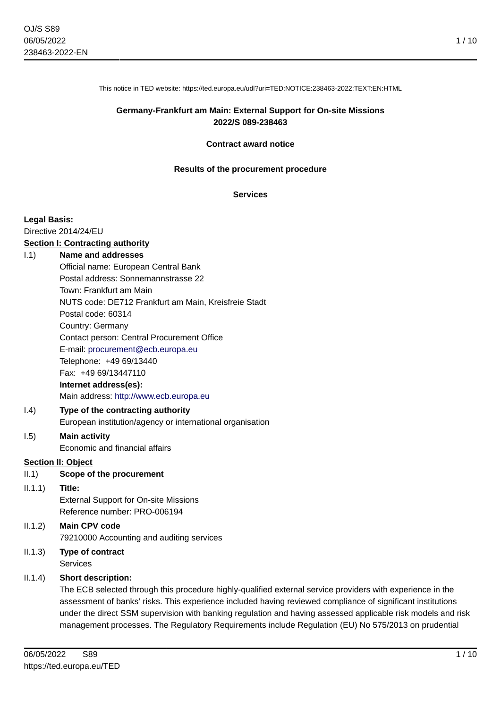This notice in TED website: https://ted.europa.eu/udl?uri=TED:NOTICE:238463-2022:TEXT:EN:HTML

# **Germany-Frankfurt am Main: External Support for On-site Missions 2022/S 089-238463**

#### **Contract award notice**

#### **Results of the procurement procedure**

#### **Services**

#### **Legal Basis:**

Directive 2014/24/EU

#### **Section I: Contracting authority**

#### I.1) **Name and addresses**

Official name: European Central Bank Postal address: Sonnemannstrasse 22 Town: Frankfurt am Main NUTS code: DE712 Frankfurt am Main, Kreisfreie Stadt Postal code: 60314 Country: Germany Contact person: Central Procurement Office E-mail: [procurement@ecb.europa.eu](mailto:procurement@ecb.europa.eu) Telephone: +49 69/13440 Fax: +49 69/13447110 **Internet address(es):** Main address:<http://www.ecb.europa.eu>

#### I.4) **Type of the contracting authority** European institution/agency or international organisation

# I.5) **Main activity**

Economic and financial affairs

# **Section II: Object**

#### II.1) **Scope of the procurement**

#### II.1.1) **Title:**

External Support for On-site Missions Reference number: PRO-006194

# II.1.2) **Main CPV code** 79210000 Accounting and auditing services

II.1.3) **Type of contract Services** 

# II.1.4) **Short description:**

The ECB selected through this procedure highly-qualified external service providers with experience in the assessment of banks' risks. This experience included having reviewed compliance of significant institutions under the direct SSM supervision with banking regulation and having assessed applicable risk models and risk management processes. The Regulatory Requirements include Regulation (EU) No 575/2013 on prudential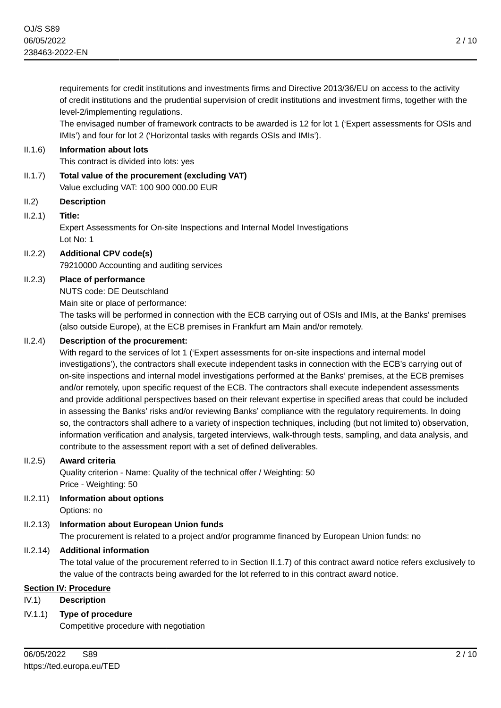requirements for credit institutions and investments firms and Directive 2013/36/EU on access to the activity of credit institutions and the prudential supervision of credit institutions and investment firms, together with the level-2/implementing regulations.

The envisaged number of framework contracts to be awarded is 12 for lot 1 ('Expert assessments for OSIs and IMIs') and four for lot 2 ('Horizontal tasks with regards OSIs and IMIs').

# II.1.6) **Information about lots**

This contract is divided into lots: yes

II.1.7) **Total value of the procurement (excluding VAT)** Value excluding VAT: 100 900 000.00 EUR

# II.2) **Description**

#### II.2.1) **Title:**

Expert Assessments for On-site Inspections and Internal Model Investigations Lot No: 1

# II.2.2) **Additional CPV code(s)**

79210000 Accounting and auditing services

# II.2.3) **Place of performance**

NUTS code: DE Deutschland

Main site or place of performance:

The tasks will be performed in connection with the ECB carrying out of OSIs and IMIs, at the Banks' premises (also outside Europe), at the ECB premises in Frankfurt am Main and/or remotely.

# II.2.4) **Description of the procurement:**

With regard to the services of lot 1 ('Expert assessments for on-site inspections and internal model investigations'), the contractors shall execute independent tasks in connection with the ECB's carrying out of on-site inspections and internal model investigations performed at the Banks' premises, at the ECB premises and/or remotely, upon specific request of the ECB. The contractors shall execute independent assessments and provide additional perspectives based on their relevant expertise in specified areas that could be included in assessing the Banks' risks and/or reviewing Banks' compliance with the regulatory requirements. In doing so, the contractors shall adhere to a variety of inspection techniques, including (but not limited to) observation, information verification and analysis, targeted interviews, walk-through tests, sampling, and data analysis, and contribute to the assessment report with a set of defined deliverables.

#### II.2.5) **Award criteria**

Quality criterion - Name: Quality of the technical offer / Weighting: 50 Price - Weighting: 50

II.2.11) **Information about options**

Options: no

# II.2.13) **Information about European Union funds**

The procurement is related to a project and/or programme financed by European Union funds: no

# II.2.14) **Additional information**

The total value of the procurement referred to in Section II.1.7) of this contract award notice refers exclusively to the value of the contracts being awarded for the lot referred to in this contract award notice.

# **Section IV: Procedure**

# IV.1) **Description**

IV.1.1) **Type of procedure**

Competitive procedure with negotiation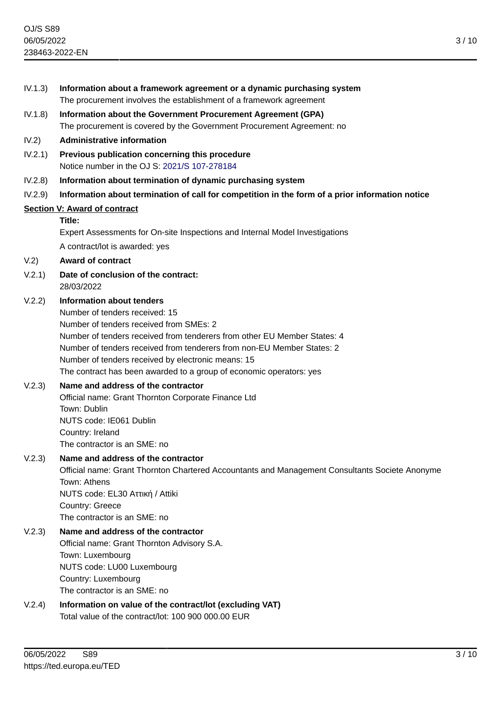- IV.1.3) **Information about a framework agreement or a dynamic purchasing system** The procurement involves the establishment of a framework agreement IV.1.8) **Information about the Government Procurement Agreement (GPA)** The procurement is covered by the Government Procurement Agreement: no IV.2) **Administrative information** IV.2.1) **Previous publication concerning this procedure** Notice number in the OJ S: [2021/S 107-278184](https://ted.europa.eu/udl?uri=TED:NOTICE:278184-2021:TEXT:EN:HTML)
- IV.2.8) **Information about termination of dynamic purchasing system**
- IV.2.9) **Information about termination of call for competition in the form of a prior information notice**

# **Section V: Award of contract**

#### **Title:**

Expert Assessments for On-site Inspections and Internal Model Investigations

A contract/lot is awarded: yes

#### V.2) **Award of contract**

V.2.1) **Date of conclusion of the contract:** 28/03/2022

#### V.2.2) **Information about tenders**

Number of tenders received: 15 Number of tenders received from SMEs: 2 Number of tenders received from tenderers from other EU Member States: 4 Number of tenders received from tenderers from non-EU Member States: 2 Number of tenders received by electronic means: 15 The contract has been awarded to a group of economic operators: yes

# V.2.3) **Name and address of the contractor**

Official name: Grant Thornton Corporate Finance Ltd Town: Dublin NUTS code: IE061 Dublin Country: Ireland The contractor is an SME: no

V.2.3) **Name and address of the contractor** Official name: Grant Thornton Chartered Accountants and Management Consultants Societe Anonyme Town: Athens NUTS code: EL30 Aττική / Attiki Country: Greece The contractor is an SME: no

# V.2.3) **Name and address of the contractor** Official name: Grant Thornton Advisory S.A. Town: Luxembourg NUTS code: LU00 Luxembourg Country: Luxembourg The contractor is an SME: no

V.2.4) **Information on value of the contract/lot (excluding VAT)** Total value of the contract/lot: 100 900 000.00 EUR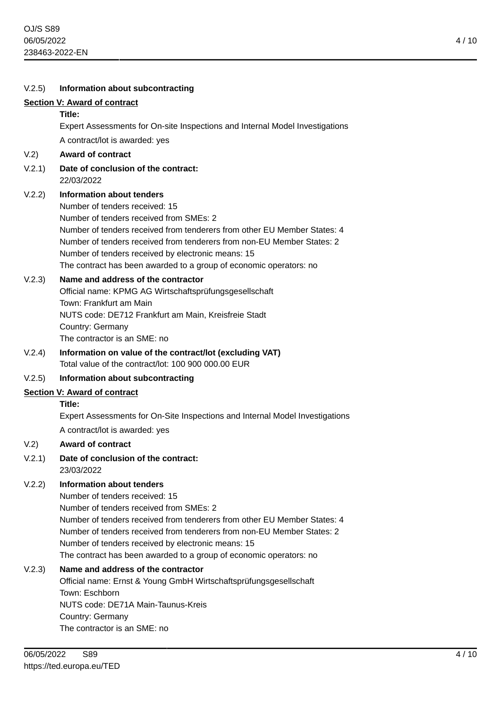| V.2.5) | Information about subcontracting                                                                                                                                                                                                                                                                                                                                                                |
|--------|-------------------------------------------------------------------------------------------------------------------------------------------------------------------------------------------------------------------------------------------------------------------------------------------------------------------------------------------------------------------------------------------------|
|        | <b>Section V: Award of contract</b>                                                                                                                                                                                                                                                                                                                                                             |
|        | Title:                                                                                                                                                                                                                                                                                                                                                                                          |
|        | Expert Assessments for On-site Inspections and Internal Model Investigations                                                                                                                                                                                                                                                                                                                    |
|        | A contract/lot is awarded: yes                                                                                                                                                                                                                                                                                                                                                                  |
| V.2)   | <b>Award of contract</b>                                                                                                                                                                                                                                                                                                                                                                        |
| V.2.1) | Date of conclusion of the contract:<br>22/03/2022                                                                                                                                                                                                                                                                                                                                               |
| V.2.2) | <b>Information about tenders</b><br>Number of tenders received: 15<br>Number of tenders received from SMEs: 2<br>Number of tenders received from tenderers from other EU Member States: 4<br>Number of tenders received from tenderers from non-EU Member States: 2<br>Number of tenders received by electronic means: 15<br>The contract has been awarded to a group of economic operators: no |
| V.2.3) | Name and address of the contractor<br>Official name: KPMG AG Wirtschaftsprüfungsgesellschaft<br>Town: Frankfurt am Main<br>NUTS code: DE712 Frankfurt am Main, Kreisfreie Stadt<br>Country: Germany<br>The contractor is an SME: no                                                                                                                                                             |
| V.2.4) | Information on value of the contract/lot (excluding VAT)<br>Total value of the contract/lot: 100 900 000,00 EUR                                                                                                                                                                                                                                                                                 |
| V.2.5) | Information about subcontracting                                                                                                                                                                                                                                                                                                                                                                |
|        | <b>Section V: Award of contract</b>                                                                                                                                                                                                                                                                                                                                                             |
|        | Title:                                                                                                                                                                                                                                                                                                                                                                                          |
|        | Expert Assessments for On-Site Inspections and Internal Model Investigations<br>A contract/lot is awarded: yes                                                                                                                                                                                                                                                                                  |
| V.2)   | <b>Award of contract</b>                                                                                                                                                                                                                                                                                                                                                                        |
| V.2.1) | Date of conclusion of the contract:<br>23/03/2022                                                                                                                                                                                                                                                                                                                                               |
| V.2.2) | <b>Information about tenders</b><br>Number of tenders received: 15<br>Number of tenders received from SMEs: 2<br>Number of tenders received from tenderers from other EU Member States: 4<br>Number of tenders received from tenderers from non-EU Member States: 2<br>Number of tenders received by electronic means: 15<br>The contract has been awarded to a group of economic operators: no |
| V.2.3) | Name and address of the contractor<br>Official name: Ernst & Young GmbH Wirtschaftsprüfungsgesellschaft<br>Town: Eschborn<br>NUTS code: DE71A Main-Taunus-Kreis<br>Country: Germany<br>The contractor is an SME: no                                                                                                                                                                             |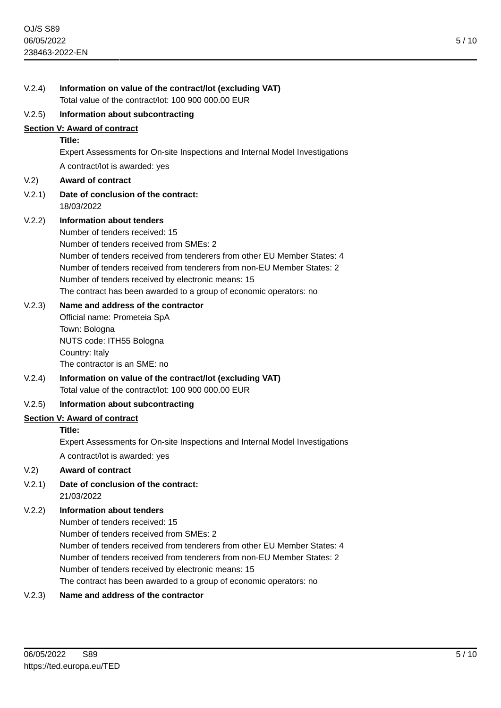| V.2.4) | Information on value of the contract/lot (excluding VAT)<br>Total value of the contract/lot: 100 900 000.00 EUR                                                                                                                                                                                                                                                                          |
|--------|------------------------------------------------------------------------------------------------------------------------------------------------------------------------------------------------------------------------------------------------------------------------------------------------------------------------------------------------------------------------------------------|
|        |                                                                                                                                                                                                                                                                                                                                                                                          |
| V.2.5) | Information about subcontracting                                                                                                                                                                                                                                                                                                                                                         |
|        | Section V: Award of contract<br>Title:                                                                                                                                                                                                                                                                                                                                                   |
|        | Expert Assessments for On-site Inspections and Internal Model Investigations                                                                                                                                                                                                                                                                                                             |
|        | A contract/lot is awarded: yes                                                                                                                                                                                                                                                                                                                                                           |
| V.2)   | <b>Award of contract</b>                                                                                                                                                                                                                                                                                                                                                                 |
| V.2.1) | Date of conclusion of the contract:<br>18/03/2022                                                                                                                                                                                                                                                                                                                                        |
| V.2.2) | Information about tenders<br>Number of tenders received: 15<br>Number of tenders received from SMEs: 2<br>Number of tenders received from tenderers from other EU Member States: 4<br>Number of tenders received from tenderers from non-EU Member States: 2<br>Number of tenders received by electronic means: 15<br>The contract has been awarded to a group of economic operators: no |
| V.2.3) | Name and address of the contractor<br>Official name: Prometeia SpA<br>Town: Bologna<br>NUTS code: ITH55 Bologna<br>Country: Italy<br>The contractor is an SME: no                                                                                                                                                                                                                        |
| V.2.4) | Information on value of the contract/lot (excluding VAT)<br>Total value of the contract/lot: 100 900 000.00 EUR                                                                                                                                                                                                                                                                          |
| V.2.5) | Information about subcontracting                                                                                                                                                                                                                                                                                                                                                         |
|        | <b>Section V: Award of contract</b>                                                                                                                                                                                                                                                                                                                                                      |
|        | Title:                                                                                                                                                                                                                                                                                                                                                                                   |
|        | Expert Assessments for On-site Inspections and Internal Model Investigations                                                                                                                                                                                                                                                                                                             |
|        | A contract/lot is awarded: yes                                                                                                                                                                                                                                                                                                                                                           |
| V.2)   | <b>Award of contract</b>                                                                                                                                                                                                                                                                                                                                                                 |
| V.2.1) | Date of conclusion of the contract:<br>21/03/2022                                                                                                                                                                                                                                                                                                                                        |
| V.2.2) | Information about tenders<br>Number of tenders received: 15<br>Number of tenders received from SMEs: 2<br>Number of tenders received from tenderers from other EU Member States: 4<br>Number of tenders received from tenderers from non-EU Member States: 2<br>Number of tenders received by electronic means: 15                                                                       |
|        |                                                                                                                                                                                                                                                                                                                                                                                          |

The contract has been awarded to a group of economic operators: no

# V.2.3) **Name and address of the contractor**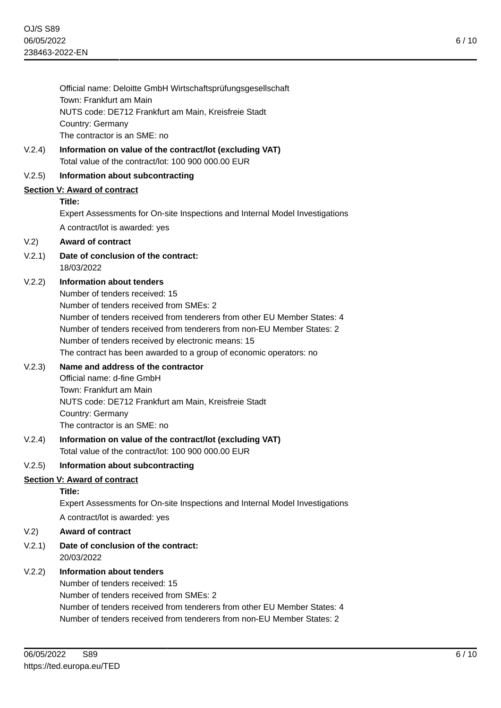Official name: Deloitte GmbH Wirtschaftsprüfungsgesellschaft Town: Frankfurt am Main NUTS code: DE712 Frankfurt am Main, Kreisfreie Stadt Country: Germany The contractor is an SME: no

V.2.4) **Information on value of the contract/lot (excluding VAT)** Total value of the contract/lot: 100 900 000.00 EUR

# V.2.5) **Information about subcontracting**

# **Section V: Award of contract**

#### **Title:**

Expert Assessments for On-site Inspections and Internal Model Investigations A contract/lot is awarded: yes

#### V.2) **Award of contract**

V.2.1) **Date of conclusion of the contract:** 18/03/2022

# V.2.2) **Information about tenders**

Number of tenders received: 15 Number of tenders received from SMEs: 2 Number of tenders received from tenderers from other EU Member States: 4 Number of tenders received from tenderers from non-EU Member States: 2 Number of tenders received by electronic means: 15 The contract has been awarded to a group of economic operators: no

#### V.2.3) **Name and address of the contractor**

Official name: d-fine GmbH Town: Frankfurt am Main NUTS code: DE712 Frankfurt am Main, Kreisfreie Stadt Country: Germany The contractor is an SME: no

#### V.2.4) **Information on value of the contract/lot (excluding VAT)** Total value of the contract/lot: 100 900 000.00 EUR

#### V.2.5) **Information about subcontracting**

#### **Section V: Award of contract**

#### **Title:**

Expert Assessments for On-site Inspections and Internal Model Investigations A contract/lot is awarded: yes

### V.2) **Award of contract**

# V.2.1) **Date of conclusion of the contract:** 20/03/2022

#### V.2.2) **Information about tenders**

Number of tenders received: 15 Number of tenders received from SMEs: 2 Number of tenders received from tenderers from other EU Member States: 4 Number of tenders received from tenderers from non-EU Member States: 2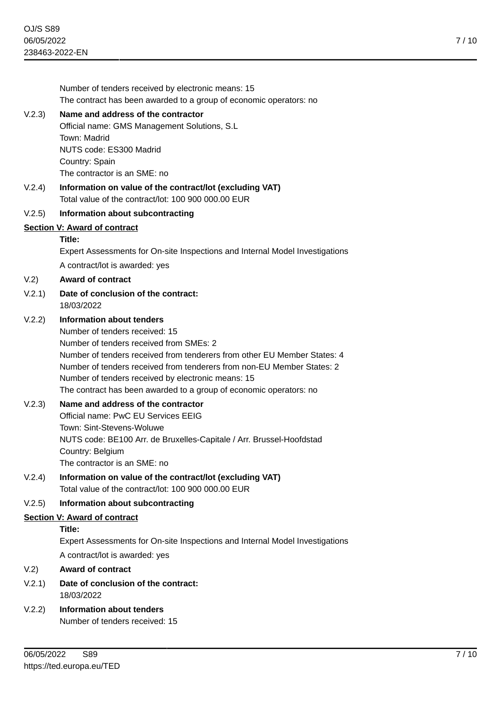Number of tenders received by electronic means: 15 The contract has been awarded to a group of economic operators: no

#### V.2.3) **Name and address of the contractor**

Official name: GMS Management Solutions, S.L Town: Madrid NUTS code: ES300 Madrid Country: Spain The contractor is an SME: no

V.2.4) **Information on value of the contract/lot (excluding VAT)** Total value of the contract/lot: 100 900 000.00 EUR

#### V.2.5) **Information about subcontracting**

#### **Section V: Award of contract**

#### **Title:**

Expert Assessments for On-site Inspections and Internal Model Investigations A contract/lot is awarded: yes

V.2) **Award of contract**

V.2.1) **Date of conclusion of the contract:** 18/03/2022

# V.2.2) **Information about tenders**

Number of tenders received: 15 Number of tenders received from SMEs: 2 Number of tenders received from tenderers from other EU Member States: 4 Number of tenders received from tenderers from non-EU Member States: 2 Number of tenders received by electronic means: 15 The contract has been awarded to a group of economic operators: no

# V.2.3) **Name and address of the contractor**

Official name: PwC EU Services EEIG Town: Sint-Stevens-Woluwe NUTS code: BE100 Arr. de Bruxelles-Capitale / Arr. Brussel-Hoofdstad Country: Belgium The contractor is an SME: no

V.2.4) **Information on value of the contract/lot (excluding VAT)** Total value of the contract/lot: 100 900 000.00 EUR

### V.2.5) **Information about subcontracting**

#### **Section V: Award of contract**

# **Title:**

Expert Assessments for On-site Inspections and Internal Model Investigations A contract/lot is awarded: yes

#### V.2) **Award of contract**

- V.2.1) **Date of conclusion of the contract:** 18/03/2022
- V.2.2) **Information about tenders** Number of tenders received: 15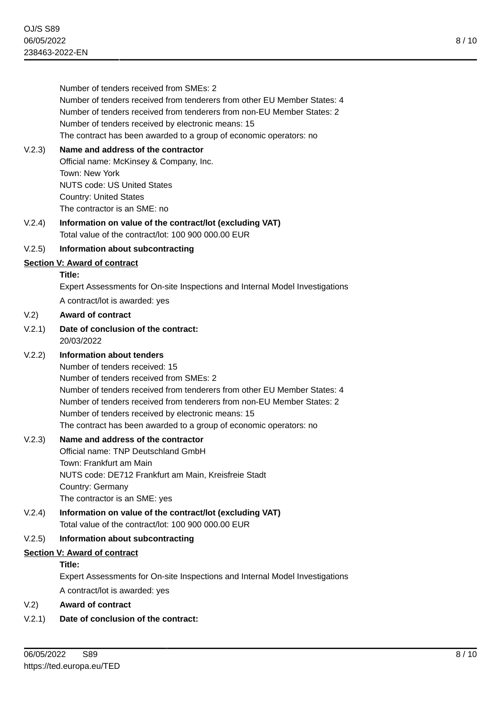Number of tenders received from SMEs: 2 Number of tenders received from tenderers from other EU Member States: 4 Number of tenders received from tenderers from non-EU Member States: 2 Number of tenders received by electronic means: 15 The contract has been awarded to a group of economic operators: no V.2.3) **Name and address of the contractor** Official name: McKinsey & Company, Inc. Town: New York NUTS code: US United States Country: United States The contractor is an SME: no V.2.4) **Information on value of the contract/lot (excluding VAT)** Total value of the contract/lot: 100 900 000.00 EUR V.2.5) **Information about subcontracting Section V: Award of contract Title:** Expert Assessments for On-site Inspections and Internal Model Investigations A contract/lot is awarded: yes V.2) **Award of contract** V.2.1) **Date of conclusion of the contract:** 20/03/2022 V.2.2) **Information about tenders** Number of tenders received: 15 Number of tenders received from SMEs: 2 Number of tenders received from tenderers from other EU Member States: 4 Number of tenders received from tenderers from non-EU Member States: 2 Number of tenders received by electronic means: 15 The contract has been awarded to a group of economic operators: no V.2.3) **Name and address of the contractor** Official name: TNP Deutschland GmbH Town: Frankfurt am Main NUTS code: DE712 Frankfurt am Main, Kreisfreie Stadt Country: Germany The contractor is an SME: yes V.2.4) **Information on value of the contract/lot (excluding VAT)** Total value of the contract/lot: 100 900 000.00 EUR V.2.5) **Information about subcontracting Section V: Award of contract Title:** Expert Assessments for On-site Inspections and Internal Model Investigations A contract/lot is awarded: yes V.2) **Award of contract**

V.2.1) **Date of conclusion of the contract:**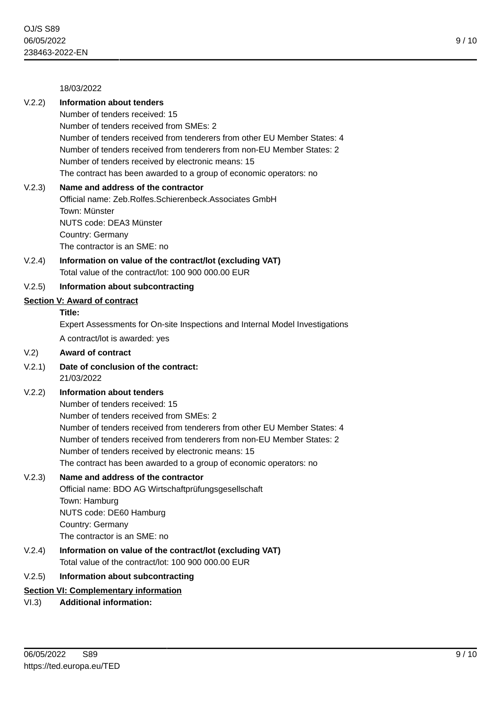18/03/2022

# V.2.2) **Information about tenders**

Number of tenders received: 15 Number of tenders received from SMEs: 2 Number of tenders received from tenderers from other EU Member States: 4 Number of tenders received from tenderers from non-EU Member States: 2 Number of tenders received by electronic means: 15 The contract has been awarded to a group of economic operators: no

#### V.2.3) **Name and address of the contractor**

Official name: Zeb.Rolfes.Schierenbeck.Associates GmbH Town: Münster NUTS code: DEA3 Münster Country: Germany The contractor is an SME: no

V.2.4) **Information on value of the contract/lot (excluding VAT)** Total value of the contract/lot: 100 900 000.00 EUR

# V.2.5) **Information about subcontracting**

#### **Section V: Award of contract**

# **Title:**

Expert Assessments for On-site Inspections and Internal Model Investigations A contract/lot is awarded: yes

#### V.2) **Award of contract**

V.2.1) **Date of conclusion of the contract:** 21/03/2022

#### V.2.2) **Information about tenders**

Number of tenders received: 15 Number of tenders received from SMEs: 2 Number of tenders received from tenderers from other EU Member States: 4 Number of tenders received from tenderers from non-EU Member States: 2 Number of tenders received by electronic means: 15 The contract has been awarded to a group of economic operators: no

#### V.2.3) **Name and address of the contractor**

Official name: BDO AG Wirtschaftprüfungsgesellschaft Town: Hamburg NUTS code: DE60 Hamburg Country: Germany The contractor is an SME: no

V.2.4) **Information on value of the contract/lot (excluding VAT)** Total value of the contract/lot: 100 900 000.00 EUR

#### V.2.5) **Information about subcontracting**

#### **Section VI: Complementary information**

# VI.3) **Additional information:**